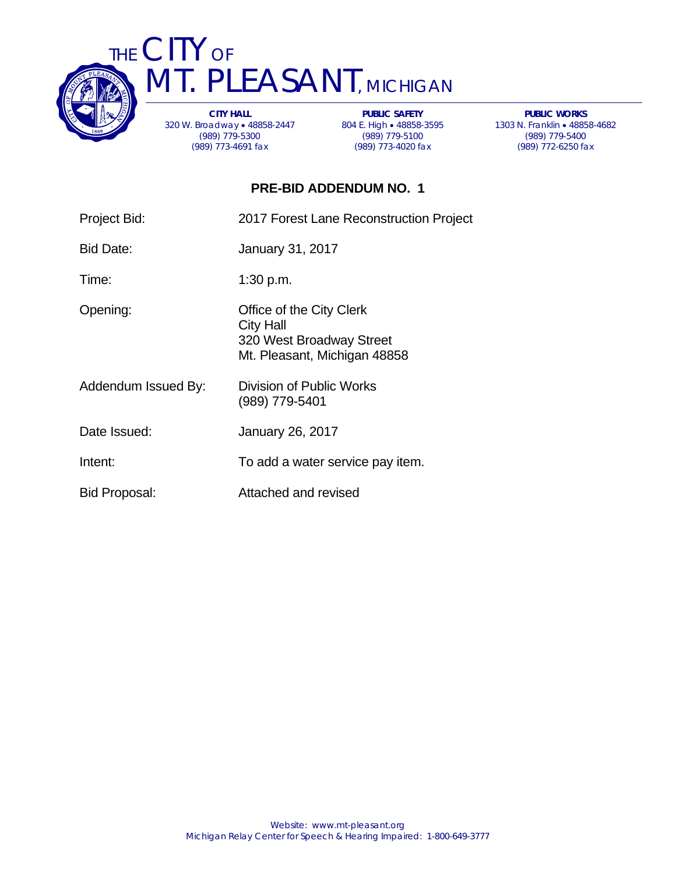

THE CITY OF T. PLEASANT, MICHIGAN

> **CITY HALL**  320 W. Broadway 48858-2447 (989) 779-5300 (989) 773-4691 fax

**PUBLIC SAFETY**  804 E. High • 48858-3595 (989) 779-5100 (989) 773-4020 fax

**PUBLIC WORKS**  1303 N. Franklin 48858-4682 (989) 779-5400 (989) 772-6250 fax

## **PRE-BID ADDENDUM NO. 1**

| Project Bid: | 2017 Forest Lane Reconstruction Project |
|--------------|-----------------------------------------|
| Bid Date:    | <b>January 31, 2017</b>                 |
| Time:        | 1:30 p.m.                               |
|              |                                         |

Opening: Office of the City Clerk City Hall 320 West Broadway Street Mt. Pleasant, Michigan 48858

- Addendum Issued By: Division of Public Works (989) 779-5401
- Date Issued: January 26, 2017
- Intent: To add a water service pay item.
- Bid Proposal: Attached and revised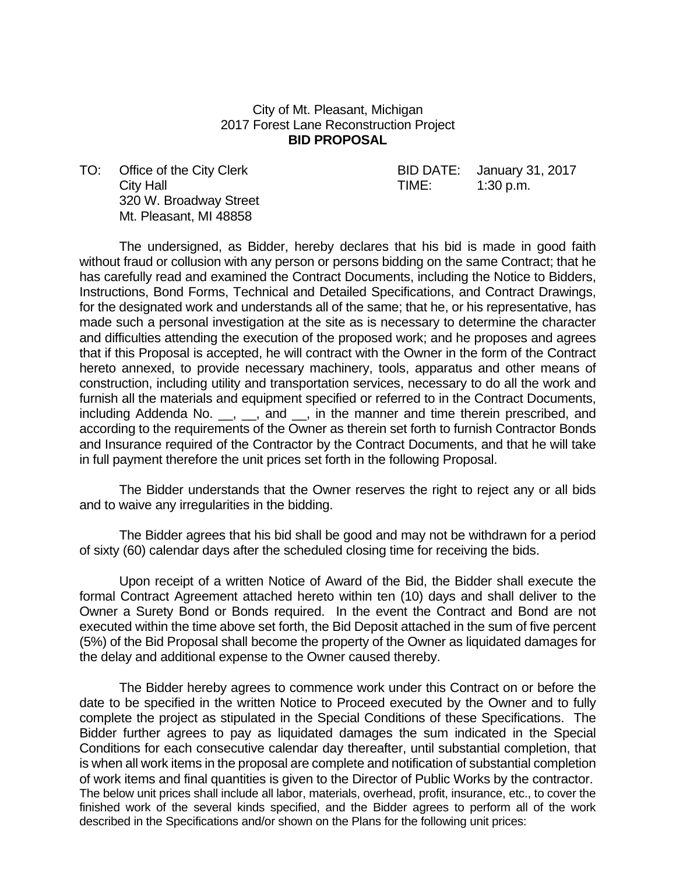## City of Mt. Pleasant, Michigan 2017 Forest Lane Reconstruction Project **BID PROPOSAL**

City Hall **City Hall City Hall City Hall City Hall City Hall City Hall City Hall City Hall City Hall City Hall City Hall City Hall City Hall City Hall City Hall City Hall City Hall City Ha**  320 W. Broadway Street Mt. Pleasant, MI 48858

TO: Office of the City Clerk BID DATE: January 31, 2017

 The undersigned, as Bidder, hereby declares that his bid is made in good faith without fraud or collusion with any person or persons bidding on the same Contract; that he has carefully read and examined the Contract Documents, including the Notice to Bidders, Instructions, Bond Forms, Technical and Detailed Specifications, and Contract Drawings, for the designated work and understands all of the same; that he, or his representative, has made such a personal investigation at the site as is necessary to determine the character and difficulties attending the execution of the proposed work; and he proposes and agrees that if this Proposal is accepted, he will contract with the Owner in the form of the Contract hereto annexed, to provide necessary machinery, tools, apparatus and other means of construction, including utility and transportation services, necessary to do all the work and furnish all the materials and equipment specified or referred to in the Contract Documents, including Addenda No. \_, \_, and \_, in the manner and time therein prescribed, and according to the requirements of the Owner as therein set forth to furnish Contractor Bonds and Insurance required of the Contractor by the Contract Documents, and that he will take in full payment therefore the unit prices set forth in the following Proposal.

 The Bidder understands that the Owner reserves the right to reject any or all bids and to waive any irregularities in the bidding.

 The Bidder agrees that his bid shall be good and may not be withdrawn for a period of sixty (60) calendar days after the scheduled closing time for receiving the bids.

 Upon receipt of a written Notice of Award of the Bid, the Bidder shall execute the formal Contract Agreement attached hereto within ten (10) days and shall deliver to the Owner a Surety Bond or Bonds required. In the event the Contract and Bond are not executed within the time above set forth, the Bid Deposit attached in the sum of five percent (5%) of the Bid Proposal shall become the property of the Owner as liquidated damages for the delay and additional expense to the Owner caused thereby.

 The Bidder hereby agrees to commence work under this Contract on or before the date to be specified in the written Notice to Proceed executed by the Owner and to fully complete the project as stipulated in the Special Conditions of these Specifications. The Bidder further agrees to pay as liquidated damages the sum indicated in the Special Conditions for each consecutive calendar day thereafter, until substantial completion, that is when all work items in the proposal are complete and notification of substantial completion of work items and final quantities is given to the Director of Public Works by the contractor. The below unit prices shall include all labor, materials, overhead, profit, insurance, etc., to cover the finished work of the several kinds specified, and the Bidder agrees to perform all of the work described in the Specifications and/or shown on the Plans for the following unit prices: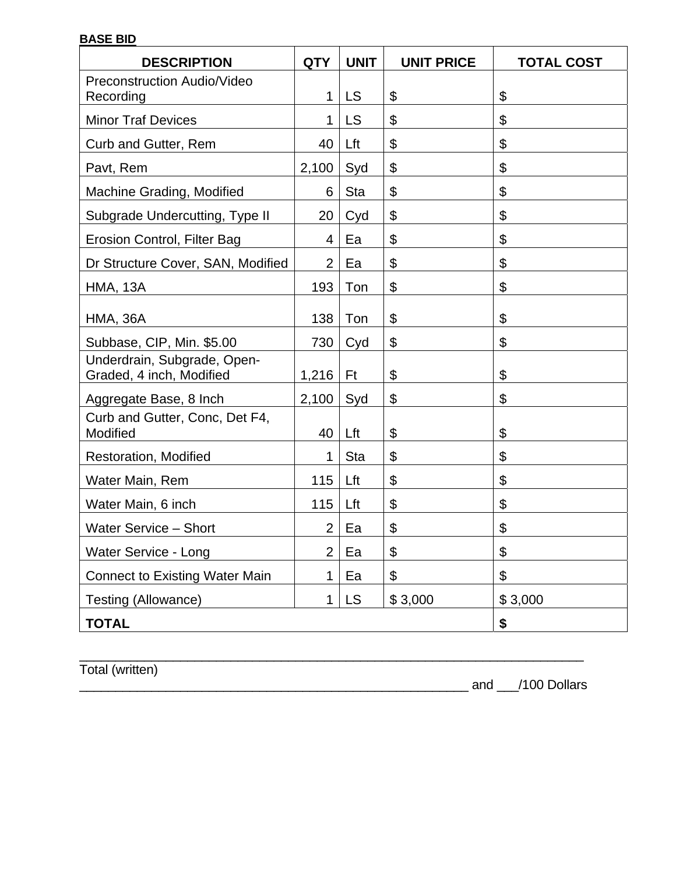## **BASE BID**

| <b>DESCRIPTION</b>                                      | <b>QTY</b>     | <b>UNIT</b> | <b>UNIT PRICE</b> | <b>TOTAL COST</b>         |
|---------------------------------------------------------|----------------|-------------|-------------------|---------------------------|
| <b>Preconstruction Audio/Video</b><br>Recording         | 1              | <b>LS</b>   | \$                | \$                        |
| <b>Minor Traf Devices</b>                               | 1              | <b>LS</b>   | \$                | \$                        |
| Curb and Gutter, Rem                                    | 40             | Lft         | \$                | $\boldsymbol{\mathsf{S}}$ |
| Pavt, Rem                                               | 2,100          | Syd         | \$                | \$                        |
| Machine Grading, Modified                               | 6              | <b>Sta</b>  | \$                | \$                        |
| Subgrade Undercutting, Type II                          | 20             | Cyd         | \$                | \$                        |
| Erosion Control, Filter Bag                             | 4              | Ea          | \$                | \$                        |
| Dr Structure Cover, SAN, Modified                       | $\overline{2}$ | Ea          | \$                | $\boldsymbol{\mathsf{S}}$ |
| <b>HMA, 13A</b>                                         | 193            | Ton         | \$                | \$                        |
| <b>HMA, 36A</b>                                         | 138            | Ton         | \$                | $\boldsymbol{\mathsf{S}}$ |
| Subbase, CIP, Min. \$5.00                               | 730            | Cyd         | \$                | $\boldsymbol{\mathsf{S}}$ |
| Underdrain, Subgrade, Open-<br>Graded, 4 inch, Modified | 1,216          | Ft          | \$                | \$                        |
| Aggregate Base, 8 Inch                                  | 2,100          | Syd         | \$                | \$                        |
| Curb and Gutter, Conc, Det F4,<br>Modified              | 40             | Lft         | \$                | $\boldsymbol{\mathsf{S}}$ |
| <b>Restoration, Modified</b>                            | 1              | <b>Sta</b>  | \$                | $\boldsymbol{\mathsf{S}}$ |
| Water Main, Rem                                         | 115            | Lft         | \$                | \$                        |
| Water Main, 6 inch                                      | 115            | Lft         | \$                | \$                        |
| <b>Water Service - Short</b>                            | $\overline{2}$ | Ea          | \$                | \$                        |
| <b>Water Service - Long</b>                             | $\overline{2}$ | Ea          | \$                | \$                        |
| <b>Connect to Existing Water Main</b>                   | 1              | Ea          | \$                | $\boldsymbol{\mathsf{S}}$ |
| Testing (Allowance)                                     | 1              | <b>LS</b>   | \$3,000           | \$3,000                   |
| <b>TOTAL</b>                                            |                |             |                   | \$                        |

 $\_$  , and the set of the set of the set of the set of the set of the set of the set of the set of the set of the set of the set of the set of the set of the set of the set of the set of the set of the set of the set of th

Total (written)

\_\_\_\_\_\_\_\_\_\_\_\_\_\_\_\_\_\_\_\_\_\_\_\_\_\_\_\_\_\_\_\_\_\_\_\_\_\_\_\_\_\_\_\_\_\_\_\_\_\_\_\_\_\_ and \_\_\_/100 Dollars